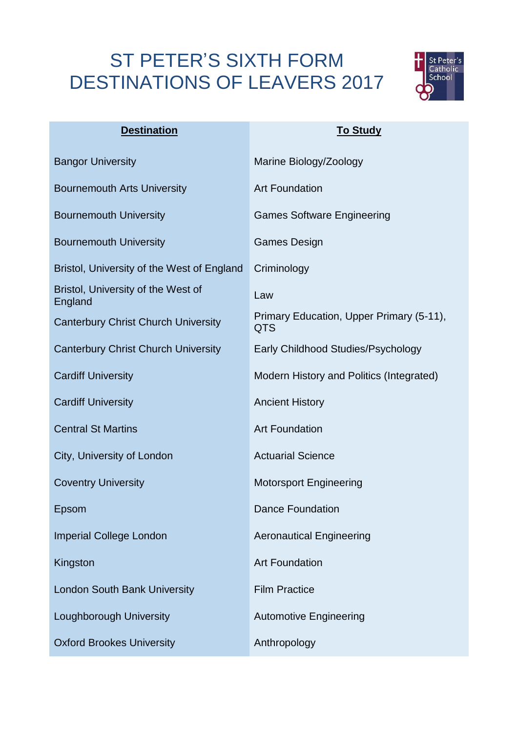## ST PETER'S SIXTH FORM DESTINATIONS OF LEAVERS 2017



| <b>Destination</b>                            | <b>To Study</b>                                        |
|-----------------------------------------------|--------------------------------------------------------|
| <b>Bangor University</b>                      | Marine Biology/Zoology                                 |
| <b>Bournemouth Arts University</b>            | <b>Art Foundation</b>                                  |
| <b>Bournemouth University</b>                 | <b>Games Software Engineering</b>                      |
| <b>Bournemouth University</b>                 | <b>Games Design</b>                                    |
| Bristol, University of the West of England    | Criminology                                            |
| Bristol, University of the West of<br>England | Law                                                    |
| <b>Canterbury Christ Church University</b>    | Primary Education, Upper Primary (5-11),<br><b>QTS</b> |
| <b>Canterbury Christ Church University</b>    | Early Childhood Studies/Psychology                     |
| <b>Cardiff University</b>                     | Modern History and Politics (Integrated)               |
| <b>Cardiff University</b>                     | <b>Ancient History</b>                                 |
| <b>Central St Martins</b>                     | <b>Art Foundation</b>                                  |
| City, University of London                    | <b>Actuarial Science</b>                               |
| <b>Coventry University</b>                    | <b>Motorsport Engineering</b>                          |
| Epsom                                         | <b>Dance Foundation</b>                                |
| <b>Imperial College London</b>                | <b>Aeronautical Engineering</b>                        |
| Kingston                                      | <b>Art Foundation</b>                                  |
| London South Bank University                  | <b>Film Practice</b>                                   |
| Loughborough University                       | <b>Automotive Engineering</b>                          |
| <b>Oxford Brookes University</b>              | Anthropology                                           |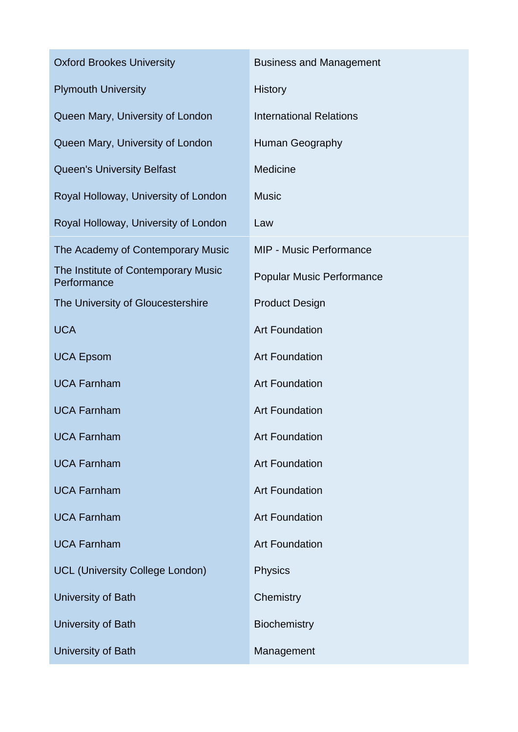| <b>Oxford Brookes University</b>                   | <b>Business and Management</b>   |
|----------------------------------------------------|----------------------------------|
| <b>Plymouth University</b>                         | <b>History</b>                   |
| Queen Mary, University of London                   | <b>International Relations</b>   |
| Queen Mary, University of London                   | Human Geography                  |
| <b>Queen's University Belfast</b>                  | <b>Medicine</b>                  |
| Royal Holloway, University of London               | <b>Music</b>                     |
| Royal Holloway, University of London               | Law                              |
| The Academy of Contemporary Music                  | <b>MIP - Music Performance</b>   |
| The Institute of Contemporary Music<br>Performance | <b>Popular Music Performance</b> |
| The University of Gloucestershire                  | <b>Product Design</b>            |
| <b>UCA</b>                                         | <b>Art Foundation</b>            |
| <b>UCA Epsom</b>                                   | <b>Art Foundation</b>            |
| <b>UCA Farnham</b>                                 | <b>Art Foundation</b>            |
| <b>UCA Farnham</b>                                 | <b>Art Foundation</b>            |
| <b>UCA Farnham</b>                                 | <b>Art Foundation</b>            |
| <b>UCA Farnham</b>                                 | <b>Art Foundation</b>            |
| <b>UCA Farnham</b>                                 | <b>Art Foundation</b>            |
| <b>UCA Farnham</b>                                 | <b>Art Foundation</b>            |
| <b>UCA Farnham</b>                                 | <b>Art Foundation</b>            |
| <b>UCL (University College London)</b>             | <b>Physics</b>                   |
| University of Bath                                 | Chemistry                        |
| University of Bath                                 | <b>Biochemistry</b>              |
| University of Bath                                 | Management                       |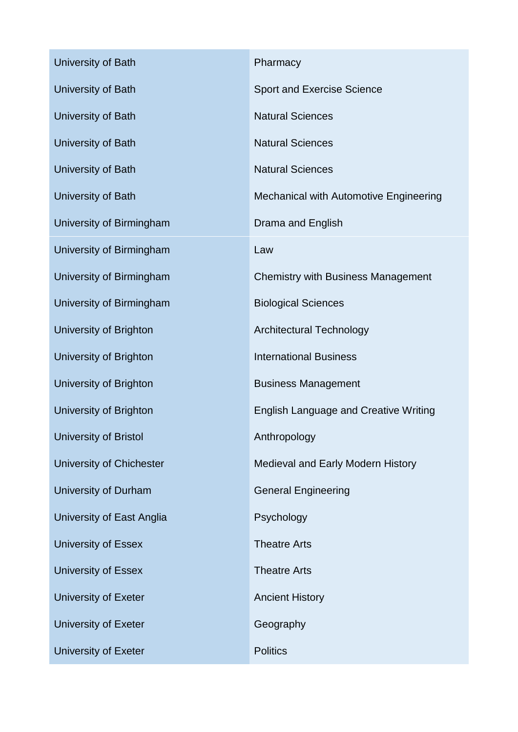| University of Bath              | Pharmacy                                     |
|---------------------------------|----------------------------------------------|
| University of Bath              | <b>Sport and Exercise Science</b>            |
| University of Bath              | <b>Natural Sciences</b>                      |
| University of Bath              | <b>Natural Sciences</b>                      |
| University of Bath              | <b>Natural Sciences</b>                      |
| University of Bath              | Mechanical with Automotive Engineering       |
| University of Birmingham        | Drama and English                            |
| University of Birmingham        | Law                                          |
| University of Birmingham        | <b>Chemistry with Business Management</b>    |
| University of Birmingham        | <b>Biological Sciences</b>                   |
| University of Brighton          | <b>Architectural Technology</b>              |
| University of Brighton          | <b>International Business</b>                |
| University of Brighton          | <b>Business Management</b>                   |
| University of Brighton          | <b>English Language and Creative Writing</b> |
| University of Bristol           | Anthropology                                 |
| <b>University of Chichester</b> | Medieval and Early Modern History            |
| University of Durham            | <b>General Engineering</b>                   |
| University of East Anglia       | Psychology                                   |
| <b>University of Essex</b>      | <b>Theatre Arts</b>                          |
| <b>University of Essex</b>      | <b>Theatre Arts</b>                          |
| University of Exeter            | <b>Ancient History</b>                       |
| <b>University of Exeter</b>     | Geography                                    |
| University of Exeter            | <b>Politics</b>                              |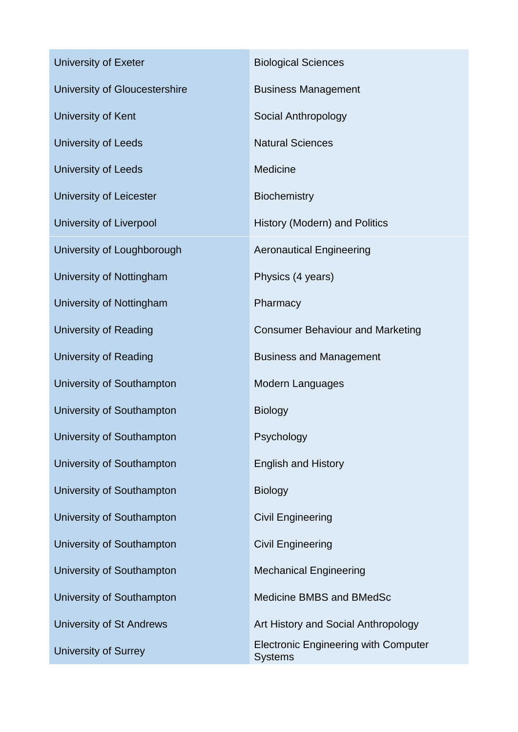| University of Exeter          | <b>Biological Sciences</b>                                    |
|-------------------------------|---------------------------------------------------------------|
| University of Gloucestershire | <b>Business Management</b>                                    |
| University of Kent            | Social Anthropology                                           |
| <b>University of Leeds</b>    | <b>Natural Sciences</b>                                       |
| <b>University of Leeds</b>    | Medicine                                                      |
| University of Leicester       | <b>Biochemistry</b>                                           |
| University of Liverpool       | History (Modern) and Politics                                 |
| University of Loughborough    | <b>Aeronautical Engineering</b>                               |
| University of Nottingham      | Physics (4 years)                                             |
| University of Nottingham      | Pharmacy                                                      |
| University of Reading         | <b>Consumer Behaviour and Marketing</b>                       |
| University of Reading         | <b>Business and Management</b>                                |
| University of Southampton     | <b>Modern Languages</b>                                       |
| University of Southampton     | <b>Biology</b>                                                |
| University of Southampton     | Psychology                                                    |
| University of Southampton     | <b>English and History</b>                                    |
| University of Southampton     | <b>Biology</b>                                                |
| University of Southampton     | <b>Civil Engineering</b>                                      |
| University of Southampton     | <b>Civil Engineering</b>                                      |
| University of Southampton     | <b>Mechanical Engineering</b>                                 |
| University of Southampton     | Medicine BMBS and BMedSc                                      |
| University of St Andrews      | Art History and Social Anthropology                           |
| University of Surrey          | <b>Electronic Engineering with Computer</b><br><b>Systems</b> |